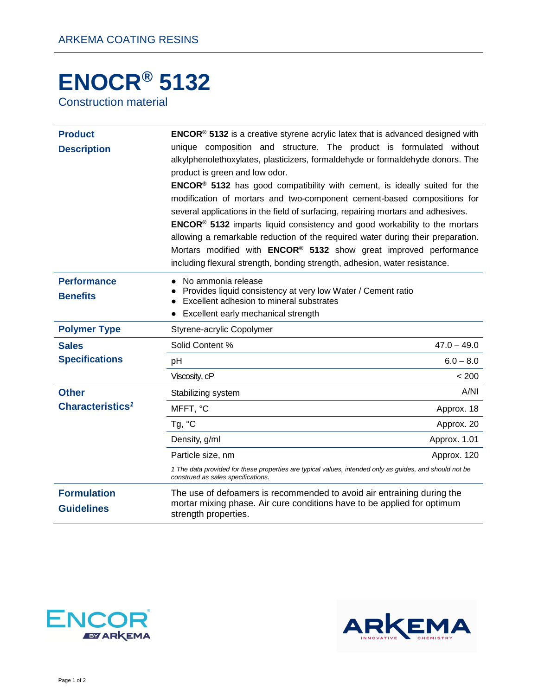## **ENOCR® 5132**

Construction material

| <b>Product</b><br><b>Description</b>    | <b>ENCOR<sup>®</sup> 5132</b> is a creative styrene acrylic latex that is advanced designed with<br>unique composition and structure. The product is formulated without<br>alkylphenolethoxylates, plasticizers, formaldehyde or formaldehyde donors. The<br>product is green and low odor.<br>ENCOR® 5132 has good compatibility with cement, is ideally suited for the<br>modification of mortars and two-component cement-based compositions for<br>several applications in the field of surfacing, repairing mortars and adhesives.<br>ENCOR® 5132 imparts liquid consistency and good workability to the mortars<br>allowing a remarkable reduction of the required water during their preparation.<br>Mortars modified with ENCOR® 5132 show great improved performance<br>including flexural strength, bonding strength, adhesion, water resistance. |
|-----------------------------------------|-------------------------------------------------------------------------------------------------------------------------------------------------------------------------------------------------------------------------------------------------------------------------------------------------------------------------------------------------------------------------------------------------------------------------------------------------------------------------------------------------------------------------------------------------------------------------------------------------------------------------------------------------------------------------------------------------------------------------------------------------------------------------------------------------------------------------------------------------------------|
| <b>Performance</b><br><b>Benefits</b>   | No ammonia release<br>Provides liquid consistency at very low Water / Cement ratio<br>Excellent adhesion to mineral substrates<br>Excellent early mechanical strength                                                                                                                                                                                                                                                                                                                                                                                                                                                                                                                                                                                                                                                                                       |
| <b>Polymer Type</b>                     | Styrene-acrylic Copolymer                                                                                                                                                                                                                                                                                                                                                                                                                                                                                                                                                                                                                                                                                                                                                                                                                                   |
| <b>Sales</b>                            | Solid Content %<br>$47.0 - 49.0$                                                                                                                                                                                                                                                                                                                                                                                                                                                                                                                                                                                                                                                                                                                                                                                                                            |
| <b>Specifications</b>                   | $6.0 - 8.0$<br>pH                                                                                                                                                                                                                                                                                                                                                                                                                                                                                                                                                                                                                                                                                                                                                                                                                                           |
|                                         | Viscosity, cP<br>< 200                                                                                                                                                                                                                                                                                                                                                                                                                                                                                                                                                                                                                                                                                                                                                                                                                                      |
| <b>Other</b>                            | A/NI<br>Stabilizing system                                                                                                                                                                                                                                                                                                                                                                                                                                                                                                                                                                                                                                                                                                                                                                                                                                  |
| Characteristics <sup>1</sup>            | MFFT, °C<br>Approx. 18                                                                                                                                                                                                                                                                                                                                                                                                                                                                                                                                                                                                                                                                                                                                                                                                                                      |
|                                         | Tg, °C<br>Approx. 20                                                                                                                                                                                                                                                                                                                                                                                                                                                                                                                                                                                                                                                                                                                                                                                                                                        |
|                                         | Density, g/ml<br>Approx. 1.01                                                                                                                                                                                                                                                                                                                                                                                                                                                                                                                                                                                                                                                                                                                                                                                                                               |
|                                         | Particle size, nm<br>Approx. 120                                                                                                                                                                                                                                                                                                                                                                                                                                                                                                                                                                                                                                                                                                                                                                                                                            |
|                                         | 1 The data provided for these properties are typical values, intended only as guides, and should not be<br>construed as sales specifications.                                                                                                                                                                                                                                                                                                                                                                                                                                                                                                                                                                                                                                                                                                               |
| <b>Formulation</b><br><b>Guidelines</b> | The use of defoamers is recommended to avoid air entraining during the<br>mortar mixing phase. Air cure conditions have to be applied for optimum<br>strength properties.                                                                                                                                                                                                                                                                                                                                                                                                                                                                                                                                                                                                                                                                                   |